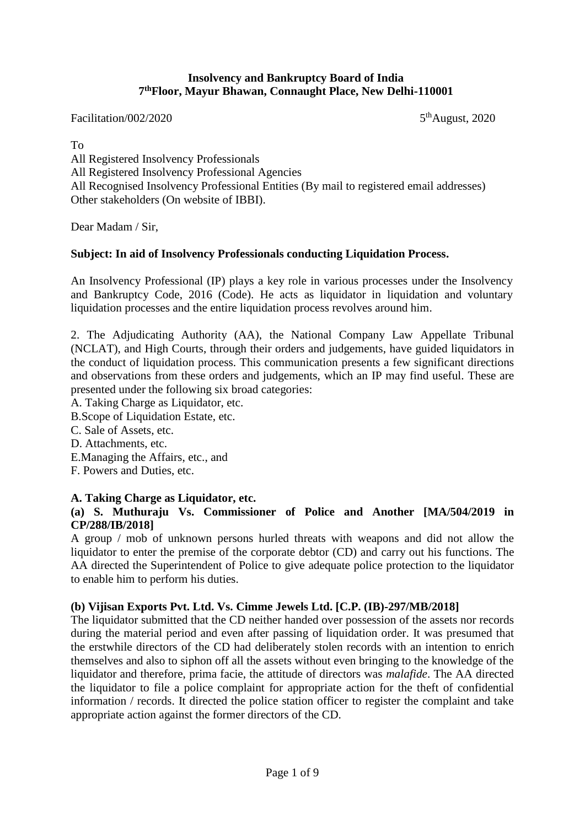#### **Insolvency and Bankruptcy Board of India 7 thFloor, Mayur Bhawan, Connaught Place, New Delhi-110001**

Facilitation/002/2020

5<sup>th</sup>August, 2020

To

All Registered Insolvency Professionals All Registered Insolvency Professional Agencies All Recognised Insolvency Professional Entities (By mail to registered email addresses) Other stakeholders (On website of IBBI).

Dear Madam / Sir,

#### **Subject: In aid of Insolvency Professionals conducting Liquidation Process.**

An Insolvency Professional (IP) plays a key role in various processes under the Insolvency and Bankruptcy Code, 2016 (Code). He acts as liquidator in liquidation and voluntary liquidation processes and the entire liquidation process revolves around him.

2. The Adjudicating Authority (AA), the National Company Law Appellate Tribunal (NCLAT), and High Courts, through their orders and judgements, have guided liquidators in the conduct of liquidation process. This communication presents a few significant directions and observations from these orders and judgements, which an IP may find useful. These are presented under the following six broad categories:

A. Taking Charge as Liquidator, etc.

B.Scope of Liquidation Estate, etc.

- C. Sale of Assets, etc.
- D. Attachments, etc.
- E.Managing the Affairs, etc., and
- F. Powers and Duties, etc.

## **A. Taking Charge as Liquidator, etc.**

### **(a) S. Muthuraju Vs. Commissioner of Police and Another [MA/504/2019 in CP/288/IB/2018]**

A group / mob of unknown persons hurled threats with weapons and did not allow the liquidator to enter the premise of the corporate debtor (CD) and carry out his functions. The AA directed the Superintendent of Police to give adequate police protection to the liquidator to enable him to perform his duties.

#### **(b) Vijisan Exports Pvt. Ltd. Vs. [Cimme Jewels Ltd. \[C.P. \(IB\)-297/MB/2018\]](javascript:void(0))**

The liquidator submitted that the CD neither handed over possession of the assets nor records during the material period and even after passing of liquidation order. It was presumed that the erstwhile directors of the CD had deliberately stolen records with an intention to enrich themselves and also to siphon off all the assets without even bringing to the knowledge of the liquidator and therefore, prima facie, the attitude of directors was *malafide*. The AA directed the liquidator to file a police complaint for appropriate action for the theft of confidential information / records. It directed the police station officer to register the complaint and take appropriate action against the former directors of the CD.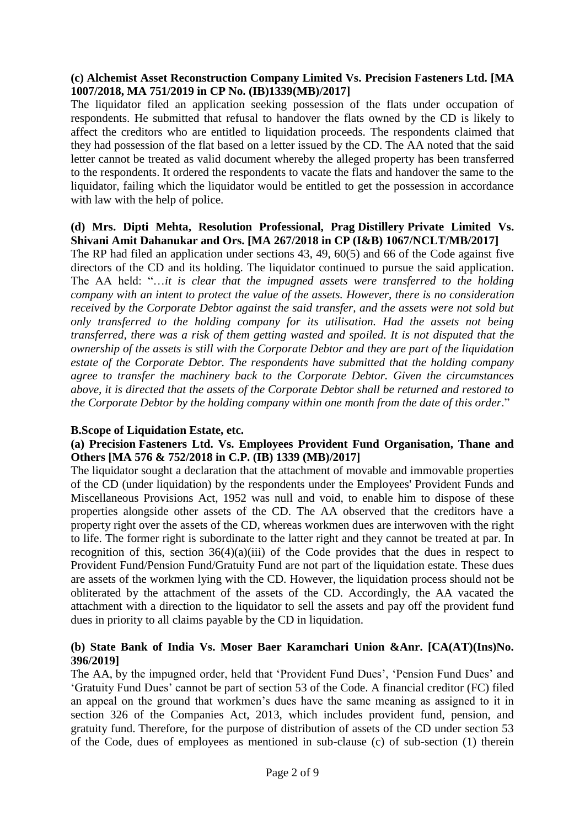## **(c) Alchemist Asset Reconstruction Company Limited Vs. Precision Fasteners Ltd. [MA 1007/2018, MA 751/2019 in CP No. (IB)1339(MB)/2017]**

The liquidator filed an application seeking possession of the flats under occupation of respondents. He submitted that refusal to handover the flats owned by the CD is likely to affect the creditors who are entitled to liquidation proceeds. The respondents claimed that they had possession of the flat based on a letter issued by the CD. The AA noted that the said letter cannot be treated as valid document whereby the alleged property has been transferred to the respondents. It ordered the respondents to vacate the flats and handover the same to the liquidator, failing which the liquidator would be entitled to get the possession in accordance with law with the help of police.

### **(d) Mrs. Dipti Mehta, Resolution Professional, Prag Distillery Private Limited Vs. Shivani Amit Dahanukar and Ors. [MA 267/2018 in CP (I&B) 1067/NCLT/MB/2017]**

The RP had filed an application under sections 43, 49, 60(5) and 66 of the Code against five directors of the CD and its holding. The liquidator continued to pursue the said application. The AA held: "…*it is clear that the impugned assets were transferred to the holding company with an intent to protect the value of the assets. However, there is no consideration received by the Corporate Debtor against the said transfer, and the assets were not sold but only transferred to the holding company for its utilisation. Had the assets not being transferred, there was a risk of them getting wasted and spoiled. It is not disputed that the ownership of the assets is still with the Corporate Debtor and they are part of the liquidation estate of the Corporate Debtor. The respondents have submitted that the holding company agree to transfer the machinery back to the Corporate Debtor. Given the circumstances above, it is directed that the assets of the Corporate Debtor shall be returned and restored to the Corporate Debtor by the holding company within one month from the date of this order*."

## **B.Scope of Liquidation Estate, etc.**

## **(a) Precision Fasteners Ltd. Vs. Employees Provident Fund Organisation, Thane and Others [MA 576 & 752/2018 in C.P. (IB) 1339 (MB)/2017]**

The liquidator sought a declaration that the attachment of movable and immovable properties of the CD (under liquidation) by the respondents under the Employees' Provident Funds and Miscellaneous Provisions Act, 1952 was null and void, to enable him to dispose of these properties alongside other assets of the CD. The AA observed that the creditors have a property right over the assets of the CD, whereas workmen dues are interwoven with the right to life. The former right is subordinate to the latter right and they cannot be treated at par. In recognition of this, section  $36(4)(a)(iii)$  of the Code provides that the dues in respect to Provident Fund/Pension Fund/Gratuity Fund are not part of the liquidation estate. These dues are assets of the workmen lying with the CD. However, the liquidation process should not be obliterated by the attachment of the assets of the CD. Accordingly, the AA vacated the attachment with a direction to the liquidator to sell the assets and pay off the provident fund dues in priority to all claims payable by the CD in liquidation.

## **(b) State Bank of India Vs. Moser Baer Karamchari Union &Anr. [CA(AT)(Ins)No. 396/2019]**

The AA, by the impugned order, held that 'Provident Fund Dues', 'Pension Fund Dues' and 'Gratuity Fund Dues' cannot be part of section 53 of the Code. A financial creditor (FC) filed an appeal on the ground that workmen's dues have the same meaning as assigned to it in section 326 of the Companies Act, 2013, which includes provident fund, pension, and gratuity fund. Therefore, for the purpose of distribution of assets of the CD under section 53 of the Code, dues of employees as mentioned in sub-clause (c) of sub-section (1) therein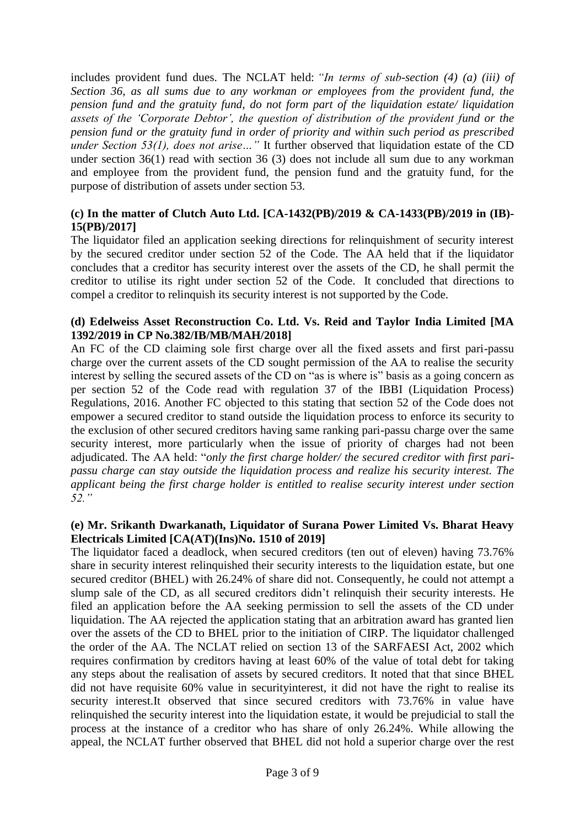includes provident fund dues. The NCLAT held: *"In terms of sub-section (4) (a) (iii) of Section 36, as all sums due to any workman or employees from the provident fund, the pension fund and the gratuity fund, do not form part of the liquidation estate/ liquidation assets of the 'Corporate Debtor', the question of distribution of the provident fund or the pension fund or the gratuity fund in order of priority and within such period as prescribed under Section 53(1), does not arise…"* It further observed that liquidation estate of the CD under section 36(1) read with section 36 (3) does not include all sum due to any workman and employee from the provident fund, the pension fund and the gratuity fund, for the purpose of distribution of assets under section 53.

# **(c) In the matter of Clutch Auto Ltd. [CA-1432(PB)/2019 & CA-1433(PB)/2019 in (IB)- 15(PB)/2017]**

The liquidator filed an application seeking directions for relinquishment of security interest by the secured creditor under section 52 of the Code. The AA held that if the liquidator concludes that a creditor has security interest over the assets of the CD, he shall permit the creditor to utilise its right under section 52 of the Code. It concluded that directions to compel a creditor to relinquish its security interest is not supported by the Code.

#### **(d) Edelweiss Asset Reconstruction Co. Ltd. Vs. Reid and Taylor India Limited [MA 1392/2019 in CP No.382/IB/MB/MAH/2018]**

An FC of the CD claiming sole first charge over all the fixed assets and first pari-passu charge over the current assets of the CD sought permission of the AA to realise the security interest by selling the secured assets of the CD on "as is where is" basis as a going concern as per section 52 of the Code read with regulation 37 of the IBBI (Liquidation Process) Regulations, 2016. Another FC objected to this stating that section 52 of the Code does not empower a secured creditor to stand outside the liquidation process to enforce its security to the exclusion of other secured creditors having same ranking pari-passu charge over the same security interest, more particularly when the issue of priority of charges had not been adjudicated. The AA held: "*only the first charge holder/ the secured creditor with first paripassu charge can stay outside the liquidation process and realize his security interest. The applicant being the first charge holder is entitled to realise security interest under section 52."*

# **(e) Mr. Srikanth Dwarkanath, Liquidator of Surana Power Limited Vs. Bharat Heavy Electricals Limited [CA(AT)(Ins)No. 1510 of 2019]**

The liquidator faced a deadlock, when secured creditors (ten out of eleven) having 73.76% share in security interest relinquished their security interests to the liquidation estate, but one secured creditor (BHEL) with 26.24% of share did not. Consequently, he could not attempt a slump sale of the CD, as all secured creditors didn't relinquish their security interests. He filed an application before the AA seeking permission to sell the assets of the CD under liquidation. The AA rejected the application stating that an arbitration award has granted lien over the assets of the CD to BHEL prior to the initiation of CIRP. The liquidator challenged the order of the AA. The NCLAT relied on section 13 of the SARFAESI Act, 2002 which requires confirmation by creditors having at least 60% of the value of total debt for taking any steps about the realisation of assets by secured creditors. It noted that that since BHEL did not have requisite 60% value in securityinterest, it did not have the right to realise its security interest.It observed that since secured creditors with 73.76% in value have relinquished the security interest into the liquidation estate, it would be prejudicial to stall the process at the instance of a creditor who has share of only 26.24%. While allowing the appeal, the NCLAT further observed that BHEL did not hold a superior charge over the rest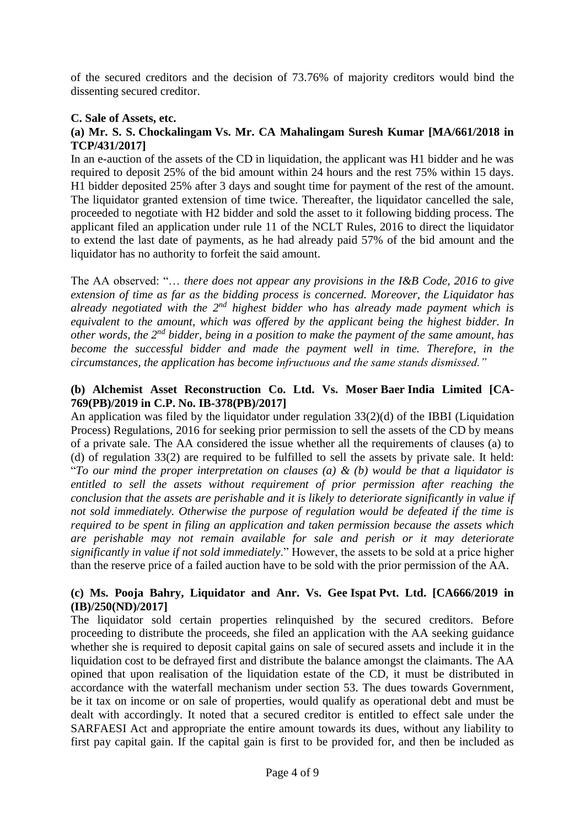of the secured creditors and the decision of 73.76% of majority creditors would bind the dissenting secured creditor.

# **C. Sale of Assets, etc.**

### **(a) Mr. S. S. Chockalingam Vs. Mr. CA Mahalingam Suresh Kumar [MA/661/2018 in TCP/431/2017]**

In an e-auction of the assets of the CD in liquidation, the applicant was H1 bidder and he was required to deposit 25% of the bid amount within 24 hours and the rest 75% within 15 days. H1 bidder deposited 25% after 3 days and sought time for payment of the rest of the amount. The liquidator granted extension of time twice. Thereafter, the liquidator cancelled the sale, proceeded to negotiate with H2 bidder and sold the asset to it following bidding process. The applicant filed an application under rule 11 of the NCLT Rules, 2016 to direct the liquidator to extend the last date of payments, as he had already paid 57% of the bid amount and the liquidator has no authority to forfeit the said amount.

The AA observed: "… *there does not appear any provisions in the I&B Code, 2016 to give extension of time as far as the bidding process is concerned. Moreover, the Liquidator has already negotiated with the 2nd highest bidder who has already made payment which is equivalent to the amount, which was offered by the applicant being the highest bidder. In other words, the 2nd bidder, being in a position to make the payment of the same amount, has become the successful bidder and made the payment well in time. Therefore, in the circumstances, the application has become infructuous and the same stands dismissed."*

# **(b) Alchemist Asset Reconstruction Co. Ltd. Vs. Moser Baer India Limited [CA-769(PB)/2019 in C.P. No. IB-378(PB)/2017]**

An application was filed by the liquidator under regulation 33(2)(d) of the IBBI (Liquidation Process) Regulations, 2016 for seeking prior permission to sell the assets of the CD by means of a private sale. The AA considered the issue whether all the requirements of clauses (a) to (d) of regulation 33(2) are required to be fulfilled to sell the assets by private sale. It held: "*To our mind the proper interpretation on clauses (a) & (b) would be that a liquidator is entitled to sell the assets without requirement of prior permission after reaching the conclusion that the assets are perishable and it is likely to deteriorate significantly in value if not sold immediately. Otherwise the purpose of regulation would be defeated if the time is required to be spent in filing an application and taken permission because the assets which are perishable may not remain available for sale and perish or it may deteriorate significantly in value if not sold immediately*." However, the assets to be sold at a price higher than the reserve price of a failed auction have to be sold with the prior permission of the AA.

## **(c) Ms. Pooja Bahry, Liquidator and Anr. Vs. Gee Ispat Pvt. Ltd. [CA666/2019 in (IB)/250(ND)/2017]**

The liquidator sold certain properties relinquished by the secured creditors. Before proceeding to distribute the proceeds, she filed an application with the AA seeking guidance whether she is required to deposit capital gains on sale of secured assets and include it in the liquidation cost to be defrayed first and distribute the balance amongst the claimants. The AA opined that upon realisation of the liquidation estate of the CD, it must be distributed in accordance with the waterfall mechanism under section 53. The dues towards Government, be it tax on income or on sale of properties, would qualify as operational debt and must be dealt with accordingly. It noted that a secured creditor is entitled to effect sale under the SARFAESI Act and appropriate the entire amount towards its dues, without any liability to first pay capital gain. If the capital gain is first to be provided for, and then be included as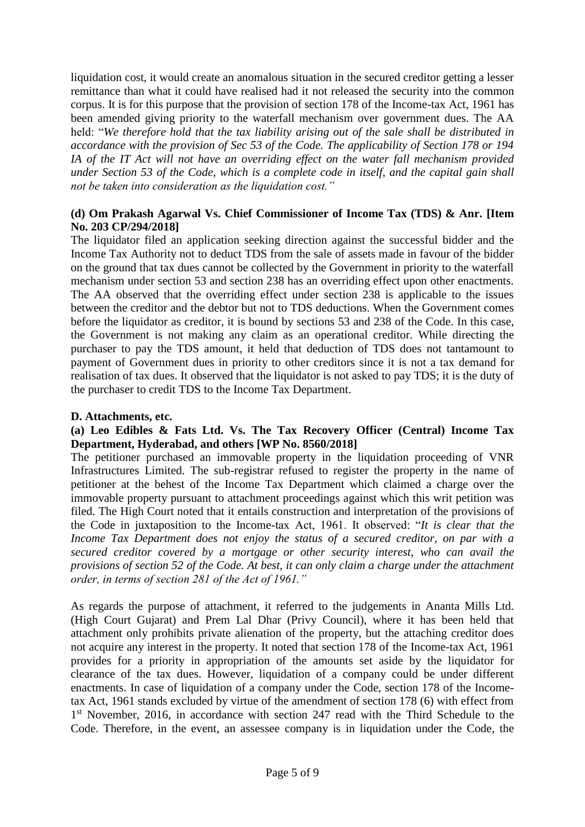liquidation cost, it would create an anomalous situation in the secured creditor getting a lesser remittance than what it could have realised had it not released the security into the common corpus. It is for this purpose that the provision of section 178 of the Income-tax Act, 1961 has been amended giving priority to the waterfall mechanism over government dues. The AA held: "*We therefore hold that the tax liability arising out of the sale shall be distributed in accordance with the provision of Sec 53 of the Code. The applicability of Section 178 or 194 IA of the IT Act will not have an overriding effect on the water fall mechanism provided under Section 53 of the Code, which is a complete code in itself, and the capital gain shall not be taken into consideration as the liquidation cost."*

# **(d) Om Prakash Agarwal Vs. Chief Commissioner of Income Tax (TDS) & Anr. [Item No. 203 CP/294/2018]**

The liquidator filed an application seeking direction against the successful bidder and the Income Tax Authority not to deduct TDS from the sale of assets made in favour of the bidder on the ground that tax dues cannot be collected by the Government in priority to the waterfall mechanism under section 53 and section 238 has an overriding effect upon other enactments. The AA observed that the overriding effect under section 238 is applicable to the issues between the creditor and the debtor but not to TDS deductions. When the Government comes before the liquidator as creditor, it is bound by sections 53 and 238 of the Code. In this case, the Government is not making any claim as an operational creditor. While directing the purchaser to pay the TDS amount, it held that deduction of TDS does not tantamount to payment of Government dues in priority to other creditors since it is not a tax demand for realisation of tax dues. It observed that the liquidator is not asked to pay TDS; it is the duty of the purchaser to credit TDS to the Income Tax Department.

### **D. Attachments, etc.**

#### **(a) Leo Edibles & Fats Ltd. Vs. The Tax Recovery Officer (Central) Income Tax Department, Hyderabad, and others [WP No. 8560/2018]**

The petitioner purchased an immovable property in the liquidation proceeding of VNR Infrastructures Limited. The sub-registrar refused to register the property in the name of petitioner at the behest of the Income Tax Department which claimed a charge over the immovable property pursuant to attachment proceedings against which this writ petition was filed. The High Court noted that it entails construction and interpretation of the provisions of the Code in juxtaposition to the Income-tax Act, 1961. It observed: "*It is clear that the Income Tax Department does not enjoy the status of a secured creditor, on par with a secured creditor covered by a mortgage or other security interest, who can avail the provisions of section 52 of the Code. At best, it can only claim a charge under the attachment order, in terms of section 281 of the Act of 1961."* 

As regards the purpose of attachment, it referred to the judgements in Ananta Mills Ltd. (High Court Gujarat) and Prem Lal Dhar (Privy Council), where it has been held that attachment only prohibits private alienation of the property, but the attaching creditor does not acquire any interest in the property. It noted that section 178 of the Income-tax Act, 1961 provides for a priority in appropriation of the amounts set aside by the liquidator for clearance of the tax dues. However, liquidation of a company could be under different enactments. In case of liquidation of a company under the Code, section 178 of the Incometax Act, 1961 stands excluded by virtue of the amendment of section 178 (6) with effect from 1<sup>st</sup> November, 2016, in accordance with section 247 read with the Third Schedule to the Code. Therefore, in the event, an assessee company is in liquidation under the Code, the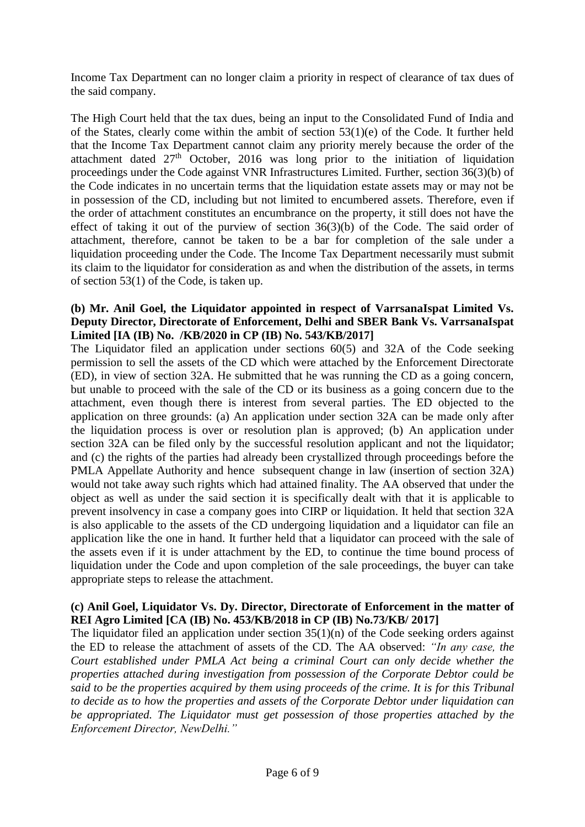Income Tax Department can no longer claim a priority in respect of clearance of tax dues of the said company.

The High Court held that the tax dues, being an input to the Consolidated Fund of India and of the States, clearly come within the ambit of section 53(1)(e) of the Code. It further held that the Income Tax Department cannot claim any priority merely because the order of the attachment dated  $27<sup>th</sup>$  October, 2016 was long prior to the initiation of liquidation proceedings under the Code against VNR Infrastructures Limited. Further, section 36(3)(b) of the Code indicates in no uncertain terms that the liquidation estate assets may or may not be in possession of the CD, including but not limited to encumbered assets. Therefore, even if the order of attachment constitutes an encumbrance on the property, it still does not have the effect of taking it out of the purview of section 36(3)(b) of the Code. The said order of attachment, therefore, cannot be taken to be a bar for completion of the sale under a liquidation proceeding under the Code. The Income Tax Department necessarily must submit its claim to the liquidator for consideration as and when the distribution of the assets, in terms of section 53(1) of the Code, is taken up.

## **(b) Mr. Anil Goel, the Liquidator appointed in respect of VarrsanaIspat Limited Vs. Deputy Director, Directorate of Enforcement, Delhi and SBER Bank Vs. VarrsanaIspat Limited [IA (IB) No. /KB/2020 in CP (IB) No. 543/KB/2017]**

The Liquidator filed an application under sections 60(5) and 32A of the Code seeking permission to sell the assets of the CD which were attached by the Enforcement Directorate (ED), in view of section 32A. He submitted that he was running the CD as a going concern, but unable to proceed with the sale of the CD or its business as a going concern due to the attachment, even though there is interest from several parties. The ED objected to the application on three grounds: (a) An application under section 32A can be made only after the liquidation process is over or resolution plan is approved; (b) An application under section 32A can be filed only by the successful resolution applicant and not the liquidator; and (c) the rights of the parties had already been crystallized through proceedings before the PMLA Appellate Authority and hence subsequent change in law (insertion of section 32A) would not take away such rights which had attained finality. The AA observed that under the object as well as under the said section it is specifically dealt with that it is applicable to prevent insolvency in case a company goes into CIRP or liquidation. It held that section 32A is also applicable to the assets of the CD undergoing liquidation and a liquidator can file an application like the one in hand. It further held that a liquidator can proceed with the sale of the assets even if it is under attachment by the ED, to continue the time bound process of liquidation under the Code and upon completion of the sale proceedings, the buyer can take appropriate steps to release the attachment.

## **(c) Anil Goel, Liquidator Vs. Dy. Director, Directorate of Enforcement in the matter of REI Agro Limited [CA (IB) No. 453/KB/2018 in CP (IB) No.73/KB/ 2017]**

The liquidator filed an application under section  $35(1)(n)$  of the Code seeking orders against the ED to release the attachment of assets of the CD. The AA observed: *"In any case, the Court established under PMLA Act being a criminal Court can only decide whether the properties attached during investigation from possession of the Corporate Debtor could be said to be the properties acquired by them using proceeds of the crime. It is for this Tribunal to decide as to how the properties and assets of the Corporate Debtor under liquidation can be appropriated. The Liquidator must get possession of those properties attached by the Enforcement Director, NewDelhi."*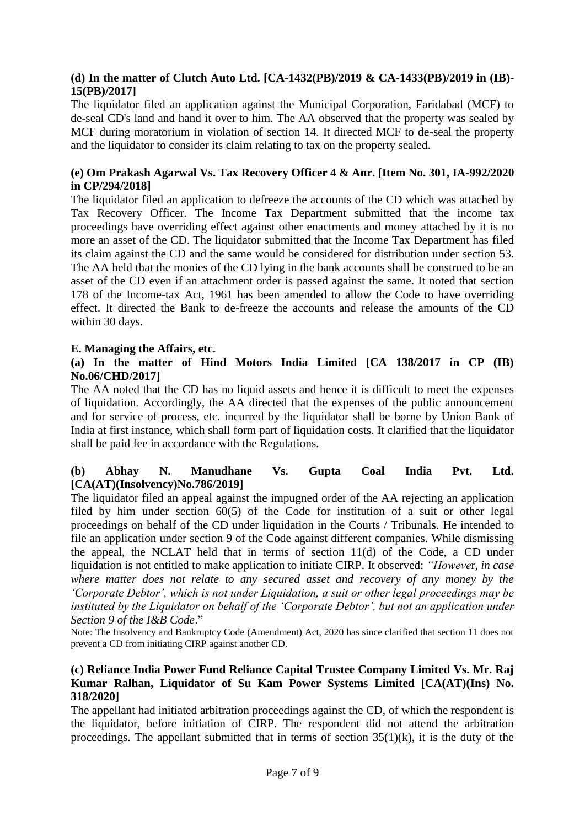## **(d) In the matter of Clutch Auto Ltd. [CA-1432(PB)/2019 & CA-1433(PB)/2019 in (IB)- 15(PB)/2017]**

The liquidator filed an application against the Municipal Corporation, Faridabad (MCF) to de-seal CD's land and hand it over to him. The AA observed that the property was sealed by MCF during moratorium in violation of section 14. It directed MCF to de-seal the property and the liquidator to consider its claim relating to tax on the property sealed.

## **(e) Om Prakash Agarwal Vs. Tax Recovery Officer 4 & Anr. [Item No. 301, IA-992/2020 in CP/294/2018]**

The liquidator filed an application to defreeze the accounts of the CD which was attached by Tax Recovery Officer. The Income Tax Department submitted that the income tax proceedings have overriding effect against other enactments and money attached by it is no more an asset of the CD. The liquidator submitted that the Income Tax Department has filed its claim against the CD and the same would be considered for distribution under section 53. The AA held that the monies of the CD lying in the bank accounts shall be construed to be an asset of the CD even if an attachment order is passed against the same. It noted that section 178 of the Income-tax Act, 1961 has been amended to allow the Code to have overriding effect. It directed the Bank to de-freeze the accounts and release the amounts of the CD within 30 days.

## **E. Managing the Affairs, etc.**

### **(a) In the matter of Hind Motors India Limited [CA 138/2017 in CP (IB) No.06/CHD/2017]**

The AA noted that the CD has no liquid assets and hence it is difficult to meet the expenses of liquidation. Accordingly, the AA directed that the expenses of the public announcement and for service of process, etc. incurred by the liquidator shall be borne by Union Bank of India at first instance, which shall form part of liquidation costs. It clarified that the liquidator shall be paid fee in accordance with the Regulations*.*

# **(b) Abhay N. Manudhane Vs. Gupta Coal India Pvt. Ltd. [CA(AT)(Insolvency)No.786/2019]**

The liquidator filed an appeal against the impugned order of the AA rejecting an application filed by him under section 60(5) of the Code for institution of a suit or other legal proceedings on behalf of the CD under liquidation in the Courts / Tribunals. He intended to file an application under section 9 of the Code against different companies. While dismissing the appeal, the NCLAT held that in terms of section 11(d) of the Code, a CD under liquidation is not entitled to make application to initiate CIRP. It observed: *"Howeve*r, *in case where matter does not relate to any secured asset and recovery of any money by the 'Corporate Debtor', which is not under Liquidation, a suit or other legal proceedings may be instituted by the Liquidator on behalf of the 'Corporate Debtor', but not an application under Section 9 of the I&B Code*."

Note: The Insolvency and Bankruptcy Code (Amendment) Act, 2020 has since clarified that section 11 does not prevent a CD from initiating CIRP against another CD.

### **(c) Reliance India Power Fund Reliance Capital Trustee Company Limited Vs. Mr. Raj Kumar Ralhan, Liquidator of Su Kam Power Systems Limited [CA(AT)(Ins) No. 318/2020]**

The appellant had initiated arbitration proceedings against the CD, of which the respondent is the liquidator, before initiation of CIRP. The respondent did not attend the arbitration proceedings. The appellant submitted that in terms of section  $35(1)(k)$ , it is the duty of the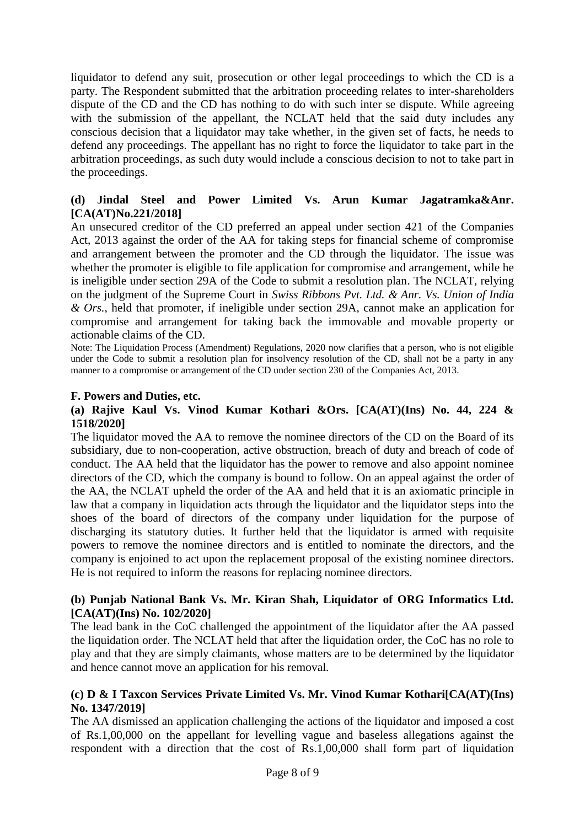liquidator to defend any suit, prosecution or other legal proceedings to which the CD is a party. The Respondent submitted that the arbitration proceeding relates to inter-shareholders dispute of the CD and the CD has nothing to do with such inter se dispute. While agreeing with the submission of the appellant, the NCLAT held that the said duty includes any conscious decision that a liquidator may take whether, in the given set of facts, he needs to defend any proceedings. The appellant has no right to force the liquidator to take part in the arbitration proceedings, as such duty would include a conscious decision to not to take part in the proceedings.

## **(d) Jindal Steel and Power Limited Vs. Arun Kumar Jagatramka&Anr. [CA(AT)No.221/2018]**

An unsecured creditor of the CD preferred an appeal under section 421 of the Companies Act, 2013 against the order of the AA for taking steps for financial scheme of compromise and arrangement between the promoter and the CD through the liquidator. The issue was whether the promoter is eligible to file application for compromise and arrangement, while he is ineligible under section 29A of the Code to submit a resolution plan. The NCLAT, relying on the judgment of the Supreme Court in *Swiss Ribbons Pvt. Ltd. & Anr. Vs. Union of India & Ors.*, held that promoter, if ineligible under section 29A, cannot make an application for compromise and arrangement for taking back the immovable and movable property or actionable claims of the CD.

Note: The Liquidation Process (Amendment) Regulations, 2020 now clarifies that a person, who is not eligible under the Code to submit a resolution plan for insolvency resolution of the CD, shall not be a party in any manner to a compromise or arrangement of the CD under section 230 of the Companies Act, 2013.

#### **F. Powers and Duties, etc.**

### **(a) Rajive Kaul Vs. Vinod Kumar Kothari &Ors. [CA(AT)(Ins) No. 44, 224 & 1518/2020]**

The liquidator moved the AA to remove the nominee directors of the CD on the Board of its subsidiary, due to non-cooperation, active obstruction, breach of duty and breach of code of conduct. The AA held that the liquidator has the power to remove and also appoint nominee directors of the CD, which the company is bound to follow. On an appeal against the order of the AA, the NCLAT upheld the order of the AA and held that it is an axiomatic principle in law that a company in liquidation acts through the liquidator and the liquidator steps into the shoes of the board of directors of the company under liquidation for the purpose of discharging its statutory duties. It further held that the liquidator is armed with requisite powers to remove the nominee directors and is entitled to nominate the directors, and the company is enjoined to act upon the replacement proposal of the existing nominee directors. He is not required to inform the reasons for replacing nominee directors.

#### **(b) Punjab National Bank Vs. Mr. Kiran Shah, Liquidator of ORG Informatics Ltd. [CA(AT)(Ins) No. 102/2020]**

The lead bank in the CoC challenged the appointment of the liquidator after the AA passed the liquidation order. The NCLAT held that after the liquidation order, the CoC has no role to play and that they are simply claimants, whose matters are to be determined by the liquidator and hence cannot move an application for his removal.

## **(c) D & I Taxcon Services Private Limited Vs. Mr. Vinod Kumar Kothari[CA(AT)(Ins) No. 1347/2019]**

The AA dismissed an application challenging the actions of the liquidator and imposed a cost of Rs.1,00,000 on the appellant for levelling vague and baseless allegations against the respondent with a direction that the cost of Rs.1,00,000 shall form part of liquidation